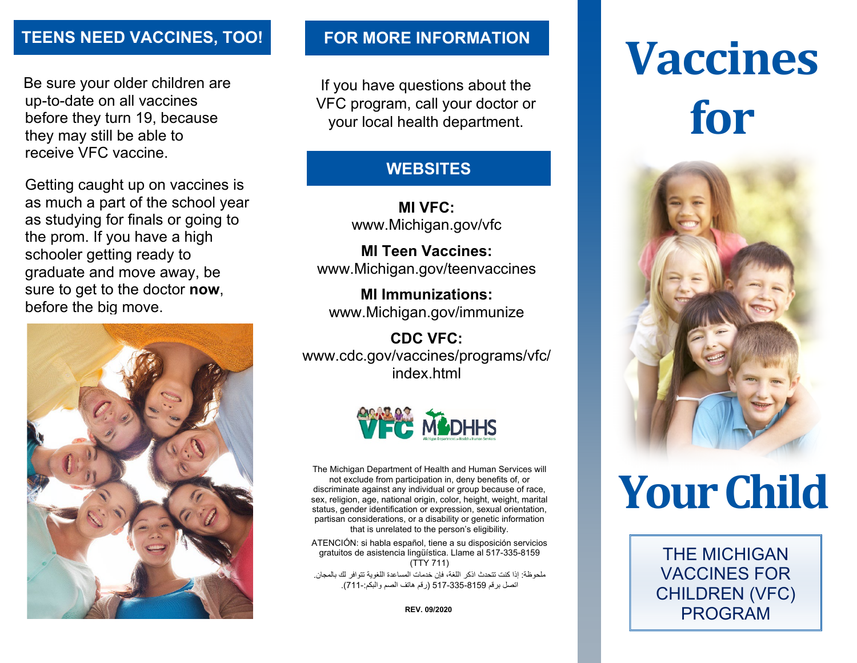Be sure your older children are up-to-date on all vaccines before they turn 19, because they may still be able to receive VFC vaccine.

Getting caught up on vaccines is as much a part of the school year as studying for finals or going to the prom. If you have a high schooler getting ready to graduate and move away, be sure to get to the doctor **now**, before the big move.



If you have questions about the VFC program, call your doctor or your local health department.

### **WEBSITES**

**MI VFC:**  www.Michigan.gov/vfc

**MI Teen Vaccines:** www.Michigan.gov/teenvaccines

**MI Immunizations:** www.Michigan.gov/immunize

**CDC VFC:** www.cdc.gov/vaccines/programs/vfc/ index.html



The Michigan Department of Health and Human Services will not exclude from participation in, deny benefits of, or discriminate against any individual or group because of race, sex, religion, age, national origin, color, height, weight, marital status, gender identification or expression, sexual orientation, partisan considerations, or a disability or genetic information that is unrelated to the person's eligibility.

ATENCIÓN: si habla español, tiene a su disposición servicios gratuitos de asistencia lingüística. Llame al 517-335-8159 (TTY 711)

ملحوظة: إذا كنت تتحدث اذكر اللغة، فإن خدمات المساعدة اللغویة تتوافر لك بالمجان. اتصل برقم 517-335-8159 (رقم ھاتف الصم والبكم711-:).

**REV. 09/2020**

# **TEENS NEED VACCINES, TOO!** FOR MORE INFORMATION<br> **Vaccines for**



## **Your Child**

THE MICHIGAN VACCINES FOR CHILDREN (VFC) PROGRAM